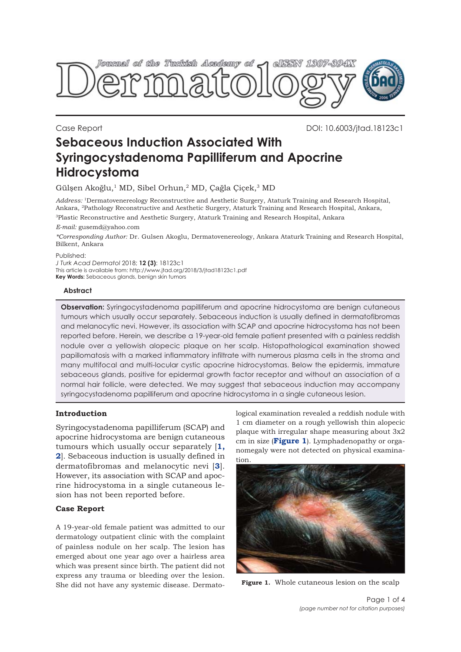

Case Report DOI: 10.6003/jtad.18123c1

# **Sebaceous Induction Associated With Syringocystadenoma Papilliferum and Apocrine Hidrocystoma**

Gülşen Akoğlu,<sup>1</sup> MD, Sibel Orhun,<sup>2</sup> MD, Çağla Çiçek,<sup>3</sup> MD

*Address:* 1Dermatovenereology Reconstructive and Aesthetic Surgery, Ataturk Training and Research Hospital, Ankara, 2Pathology Reconstructive and Aesthetic Surgery, Ataturk Training and Research Hospital, Ankara, 3Plastic Reconstructive and Aesthetic Surgery, Ataturk Training and Research Hospital, Ankara

*E-mail:* gusemd@yahoo.com

*\*Corresponding Author:* Dr. Gulsen Akoglu, Dermatovenereology, Ankara Ataturk Training and Research Hospital, Bilkent, Ankara

#### Published:

*J Turk Acad Dermatol* 2018; **12 (3)**: 18123c1 This article is available from: http://www.jtad.org/2018/3/jtad18123c1.pdf **Key Words:** Sebaceous glands, benign skin tumors

### **Abstract**

**Observation:** Syringocystadenoma papilliferum and apocrine hidrocystoma are benign cutaneous tumours which usually occur separately. Sebaceous induction is usually defined in dermatofibromas and melanocytic nevi. However, its association with SCAP and apocrine hidrocystoma has not been reported before. Herein, we describe a 19-year-old female patient presented with a painless reddish nodule over a yellowish alopecic plaque on her scalp. Histopathological examination showed papillomatosis with a marked inflammatory infiltrate with numerous plasma cells in the stroma and many multifocal and multi-locular cystic apocrine hidrocystomas. Below the epidermis, immature sebaceous glands, positive for epidermal growth factor receptor and without an association of a normal hair follicle, were detected. We may suggest that sebaceous induction may accompany syringocystadenoma papilliferum and apocrine hidrocystoma in a single cutaneous lesion.

## **Introduction**

Syringocystadenoma papilliferum (SCAP) and apocrine hidrocystoma are benign cutaneous tumours which usually occur separately [**[1](#page-2-0), [2](#page-2-0)**]. Sebaceous induction is usually defined in dermatofibromas and melanocytic nevi [**3**]. However, its association with SCAP and apocrine hidrocystoma in a single cutaneous lesion has not been reported before.

# **Case Report**

A 19-year-old female patient was admitted to our dermatology outpatient clinic with the complaint of painless nodule on her scalp. The lesion has emerged about one year ago over a hairless area which was present since birth. The patient did not express any trauma or bleeding over the lesion. She did not have any systemic disease. Dermatological examination revealed a reddish nodule with 1 cm diameter on a rough yellowish thin alopecic plaque with irregular shape measuring about 3x2 cm in size (**Figure 1**). Lymphadenopathy or organomegaly were not detected on physical examination.



**Figure 1.** Whole cutaneous lesion on the scalp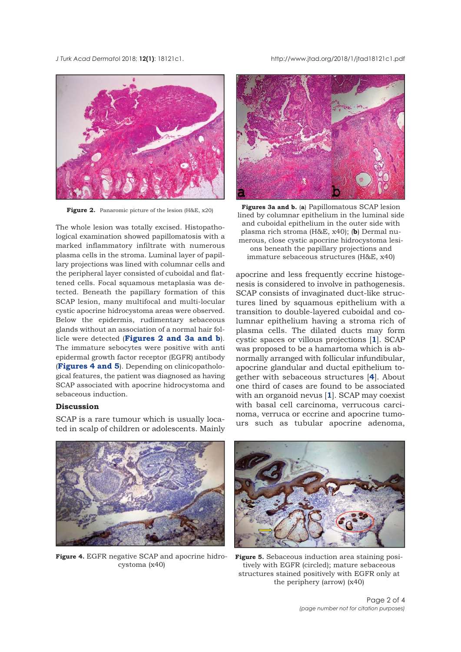*J Turk Acad Dermato*l 2018; **12(1)**: 18121c1. http://www.jtad.org/2018/1/jtad18121c1.pdf



**Figure 2.** Panaromic picture of the lesion (H&E, x20)

The whole lesion was totally excised. Histopathological examination showed papillomatosis with a marked inflammatory infiltrate with numerous plasma cells in the stroma. Luminal layer of papillary projections was lined with columnar cells and the peripheral layer consisted of cuboidal and flattened cells. Focal squamous metaplasia was detected. Beneath the papillary formation of this SCAP lesion, many multifocal and multi-locular cystic apocrine hidrocystoma areas were observed. Below the epidermis, rudimentary sebaceous glands without an association of a normal hair follicle were detected (**Figures 2 and 3a and b**). The immature sebocytes were positive with anti epidermal growth factor receptor (EGFR) antibody (**Figures 4 and 5**). Depending on clinicopathological features, the patient was diagnosed as having SCAP associated with apocrine hidrocystoma and sebaceous induction.

# **Discussion**

SCAP is a rare tumour which is usually located in scalp of children or adolescents. Mainly



**Figures 3a and b.** (**a**) Papillomatous SCAP lesion lined by columnar epithelium in the luminal side and cuboidal epithelium in the outer side with plasma rich stroma (H&E, x40); (**b**) Dermal numerous, close cystic apocrine hidrocystoma lesions beneath the papillary projections and immature sebaceous structures (H&E, x40)

apocrine and less frequently eccrine histogenesis is considered to involve in pathogenesis. SCAP consists of invaginated duct-like structures lined by squamous epithelium with a transition to double-layered cuboidal and columnar epithelium having a stroma rich of plasma cells. The dilated ducts may form cystic spaces or villous projections [**[1](#page-2-0)**]. SCAP was proposed to be a hamartoma which is abnormally arranged with follicular infundibular, apocrine glandular and ductal epithelium together with sebaceous structures [**[4](#page-2-0)**]. About one third of cases are found to be associated with an organoid nevus [**[1](#page-2-0)**]. SCAP may coexist with basal cell carcinoma, verrucous carcinoma, verruca or eccrine and apocrine tumours such as tubular apocrine adenoma,



**Figure 4.** EGFR negative SCAP and apocrine hidrocystoma (x40)



**Figure 5.** Sebaceous induction area staining positively with EGFR (circled); mature sebaceous structures stained positively with EGFR only at the periphery (arrow) (x40)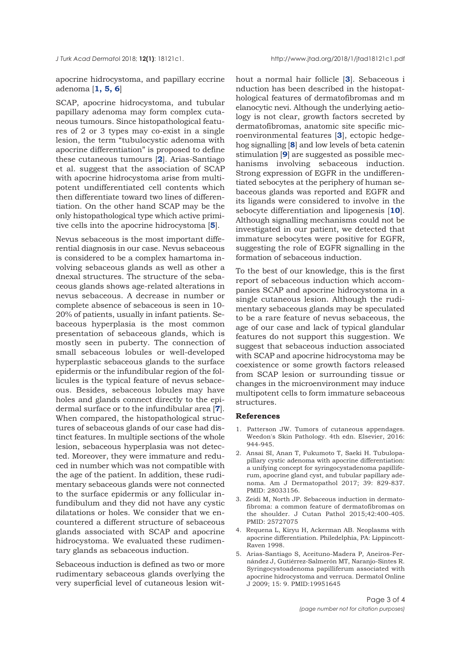<span id="page-2-0"></span>

apocrine hidrocystoma, and papillary eccrine adenoma [**1, 5, [6](#page-3-0)**]

SCAP, apocrine hidrocystoma, and tubular papillary adenoma may form complex cutaneous tumours. Since histopathological features of 2 or 3 types may co-exist in a single lesion, the term "tubulocystic adenoma with apocrine differentiation" is proposed to define these cutaneous tumours [**2**]. Arias-Santiago et al. suggest that the association of SCAP with apocrine hidrocystoma arise from multipotent undifferentiated cell contents which then differentiate toward two lines of differentiation. On the other hand SCAP may be the only histopathological type which active primitive cells into the apocrine hidrocystoma [**5**].

Nevus sebaceous is the most important differential diagnosis in our case. Nevus sebaceous is considered to be a complex hamartoma involving sebaceous glands as well as other a dnexal structures. The structure of the sebaceous glands shows age-related alterations in nevus sebaceous. A decrease in number or complete absence of sebaceous is seen in 10- 20% of patients, usually in infant patients. Sebaceous hyperplasia is the most common presentation of sebaceous glands, which is mostly seen in puberty. The connection of small sebaceous lobules or well-developed hyperplastic sebaceous glands to the surface epidermis or the infundibular region of the follicules is the typical feature of nevus sebaceous. Besides, sebaceous lobules may have holes and glands connect directly to the epidermal surface or to the infundibular area [**[7](#page-3-0)**]. When compared, the histopathological structures of sebaceous glands of our case had distinct features. In multiple sections of the whole lesion, sebaceous hyperplasia was not detected. Moreover, they were immature and reduced in number which was not compatible with the age of the patient. In addition, these rudimentary sebaceous glands were not connected to the surface epidermis or any follicular infundibulum and they did not have any cystic dilatations or holes. We consider that we encountered a different structure of sebaceous glands associated with SCAP and apocrine hidrocystoma. We evaluated these rudimentary glands as sebaceous induction.

Sebaceous induction is defined as two or more rudimentary sebaceous glands overlying the very superficial level of cutaneous lesion without a normal hair follicle [**3**]. Sebaceous i nduction has been described in the histopathological features of dermatofibromas and m elanocytic nevi. Although the underlying aetiology is not clear, growth factors secreted by dermatofibromas, anatomic site specific microenvironmental features [**3**], ectopic hedgehog signalling [**[8](#page-3-0)**] and low levels of beta catenin stimulation [**[9](#page-3-0)**] are suggested as possible mechanisms involving sebaceous induction. Strong expression of EGFR in the undifferentiated sebocytes at the periphery of human sebaceous glands was reported and EGFR and its ligands were considered to involve in the sebocyte differentiation and lipogenesis [**[10](#page-3-0)**]. Although signalling mechanisms could not be investigated in our patient, we detected that immature sebocytes were positive for EGFR, suggesting the role of EGFR signalling in the formation of sebaceous induction.

To the best of our knowledge, this is the first report of sebaceous induction which accompanies SCAP and apocrine hidrocystoma in a single cutaneous lesion. Although the rudimentary sebaceous glands may be speculated to be a rare feature of nevus sebaceous, the age of our case and lack of typical glandular features do not support this suggestion. We suggest that sebaceous induction associated with SCAP and apocrine hidrocystoma may be coexistence or some growth factors released from SCAP lesion or surrounding tissue or changes in the microenvironment may induce multipotent cells to form immature sebaceous structures.

#### **References**

- 1. Patterson JW. Tumors of cutaneous appendages. Weedon's Skin Pathology. 4th edn. Elsevier, 2016: 944-945.
- 2. Ansai SI, Anan T, Fukumoto T, Saeki H. Tubulopapillary cystic adenoma with apocrine differentiation: a unifying concept for syringocystadenoma papilliferum, apocrine gland cyst, and tubular papillary adenoma. Am J Dermatopathol 2017; 39: 829-837. PMID: 28033156.
- 3. Zeidi M, North JP. Sebaceous induction in dermatofibroma: a common feature of dermatofibromas on the shoulder. J Cutan Pathol 2015;42:400-405. PMID: 25727075
- 4. Requena L, Kiryu H, Ackerman AB. Neoplasms with apocrine differentiation. Philedelphia, PA: Lippincott-Raven 1998.
- 5. Arias-Santiago S, Aceituno-Madera P, Aneiros-Fernández J, Gutiérrez-Salmerón MT, Naranjo-Sintes R. Syringocystoadenoma papilliferum associated with apocrine hidrocystoma and verruca. Dermatol Online J 2009; 15: 9. PMID:19951645